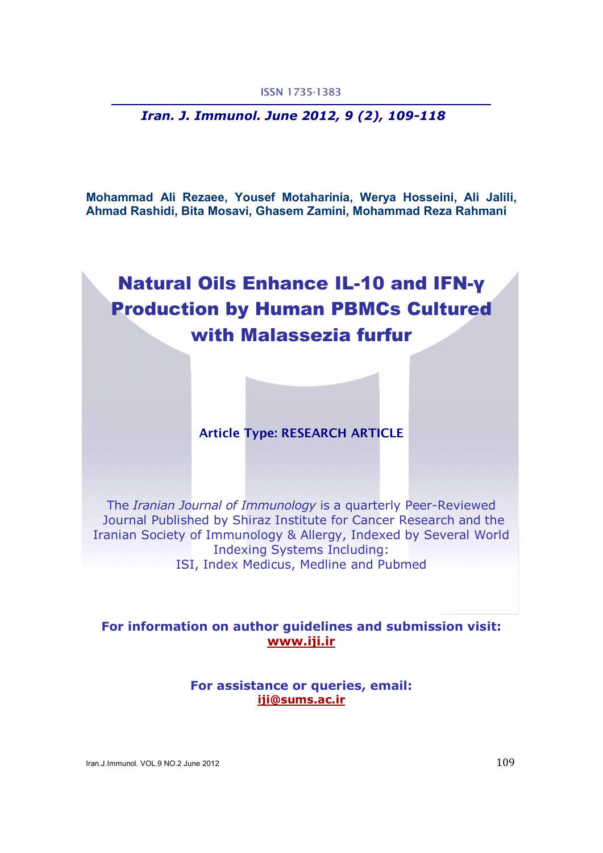*Iran. J. Immunol. June 2012, 9 (2), 109-118* 

Mohammad Ali Rezaee, Yousef Motaharinia, Werya Hosseini, Ali Jalili, Ahmad Rashidi, Bita Mosavi, Ghasem Zamini, Mohammad Reza Rahmani

# Natural Oils Enhance IL-10 and IFN-γ Production by Human PBMCs Cultured with Malassezia furfur

# Article Type: RESEARCH ARTICLE

The *Iranian Journal of Immunology* is a quarterly Peer-Reviewed Journal Published by Shiraz Institute for Cancer Research and the Iranian Society of Immunology & Allergy, Indexed by Several World Indexing Systems Including: ISI, Index Medicus, Medline and Pubmed

For information on author guidelines and submission visit: www.iji.ir

> For assistance or queries, email: iji@sums.ac.ir

Iran.J.Immunol. VOL.9 NO.2 June 2012 109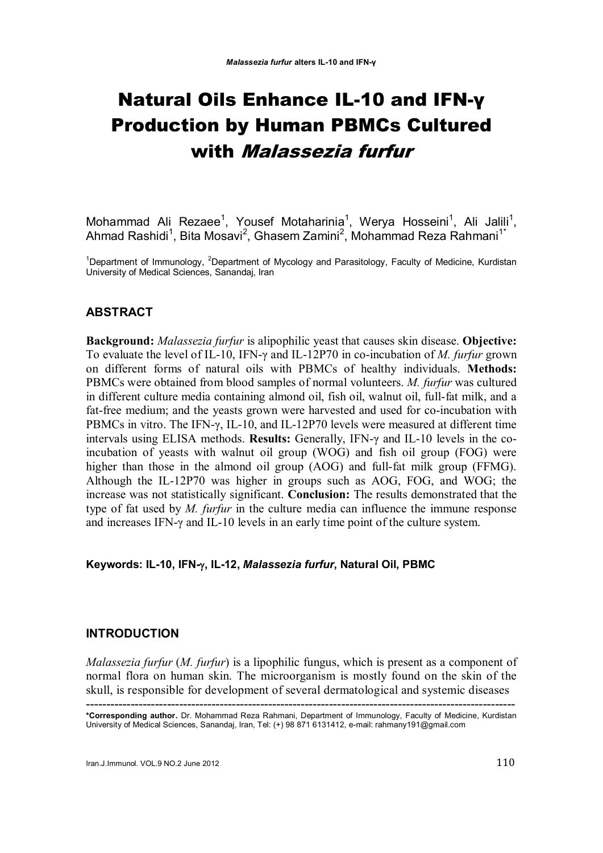# Natural Oils Enhance IL-10 and IFN-γ Production by Human PBMCs Cultured with Malassezia furfur

Mohammad Ali Rezaee<sup>1</sup>, Yousef Motaharinia<sup>1</sup>, Werya Hosseini<sup>1</sup>, Ali Jalili<sup>1</sup>, Ahmad Rashidi<sup>1</sup>, Bita Mosavi<sup>2</sup>, Ghasem Zamini<sup>2</sup>, Mohammad Reza Rahmani<sup>1\*</sup>

<sup>1</sup>Department of Immunology, <sup>2</sup>Department of Mycology and Parasitology, Faculty of Medicine, Kurdistan University of Medical Sciences, Sanandaj, Iran

# ABSTRACT

Background: *Malassezia furfur* is alipophilic yeast that causes skin disease. Objective: To evaluate the level of IL-10, IFN-γ and IL-12P70 in co-incubation of *M. furfur* grown on different forms of natural oils with PBMCs of healthy individuals. Methods: PBMCs were obtained from blood samples of normal volunteers. *M. furfur* was cultured in different culture media containing almond oil, fish oil, walnut oil, full-fat milk, and a fat-free medium; and the yeasts grown were harvested and used for co-incubation with PBMCs in vitro. The IFN-γ, IL-10, and IL-12P70 levels were measured at different time intervals using ELISA methods. Results: Generally, IFN-γ and IL-10 levels in the coincubation of yeasts with walnut oil group (WOG) and fish oil group (FOG) were higher than those in the almond oil group (AOG) and full-fat milk group (FFMG). Although the IL-12P70 was higher in groups such as AOG, FOG, and WOG; the increase was not statistically significant. Conclusion: The results demonstrated that the type of fat used by *M. furfur* in the culture media can influence the immune response and increases IFN-γ and IL-10 levels in an early time point of the culture system.

## Keywords: IL-10, IFN-, IL-12, *Malassezia furfur*, Natural Oil, PBMC

# INTRODUCTION

*Malassezia furfur* (*M. furfur*) is a lipophilic fungus, which is present as a component of normal flora on human skin. The microorganism is mostly found on the skin of the skull, is responsible for development of several dermatological and systemic diseases

<sup>----------------------------------------------------------------------------------------------------------</sup>  \*Corresponding author. Dr. Mohammad Reza Rahmani, Department of Immunology, Faculty of Medicine, Kurdistan University of Medical Sciences, Sanandaj, Iran, Tel: (+) 98 871 6131412, e-mail: rahmany191@gmail.com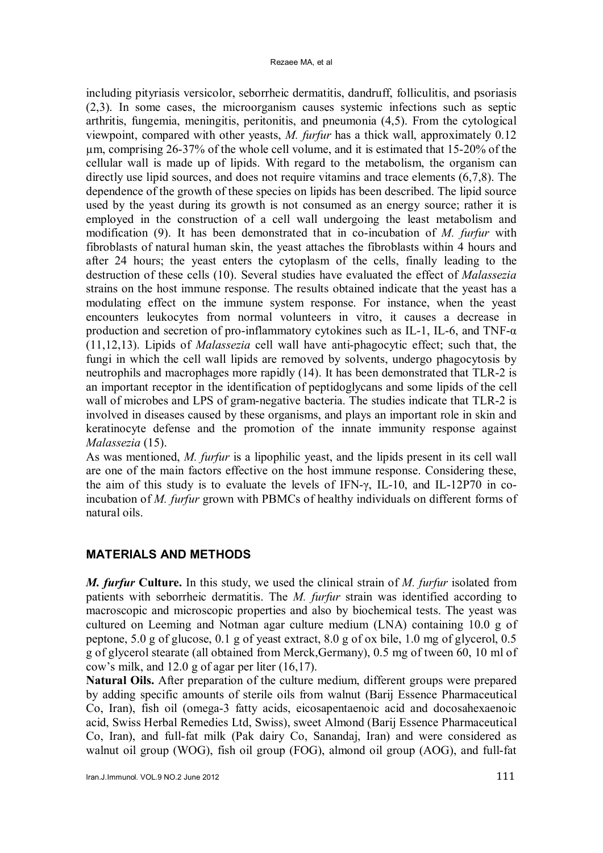including pityriasis versicolor, seborrheic dermatitis, dandruff, folliculitis, and psoriasis (2,3). In some cases, the microorganism causes systemic infections such as septic arthritis, fungemia, meningitis, peritonitis, and pneumonia (4,5). From the cytological viewpoint, compared with other yeasts, *M. furfur* has a thick wall, approximately 0.12 µm, comprising 26-37% of the whole cell volume, and it is estimated that 15-20% of the cellular wall is made up of lipids. With regard to the metabolism, the organism can directly use lipid sources, and does not require vitamins and trace elements (6,7,8). The dependence of the growth of these species on lipids has been described. The lipid source used by the yeast during its growth is not consumed as an energy source; rather it is employed in the construction of a cell wall undergoing the least metabolism and modification (9). It has been demonstrated that in co-incubation of *M. furfur* with fibroblasts of natural human skin, the yeast attaches the fibroblasts within 4 hours and after 24 hours; the yeast enters the cytoplasm of the cells, finally leading to the destruction of these cells (10). Several studies have evaluated the effect of *Malassezia* strains on the host immune response. The results obtained indicate that the yeast has a modulating effect on the immune system response. For instance, when the yeast encounters leukocytes from normal volunteers in vitro, it causes a decrease in production and secretion of pro-inflammatory cytokines such as IL-1, IL-6, and TNF- $\alpha$ (11,12,13). Lipids of *Malassezia* cell wall have anti-phagocytic effect; such that, the fungi in which the cell wall lipids are removed by solvents, undergo phagocytosis by neutrophils and macrophages more rapidly (14). It has been demonstrated that TLR-2 is an important receptor in the identification of peptidoglycans and some lipids of the cell wall of microbes and LPS of gram-negative bacteria. The studies indicate that TLR-2 is involved in diseases caused by these organisms, and plays an important role in skin and keratinocyte defense and the promotion of the innate immunity response against *Malassezia* (15).

As was mentioned, *M. furfur* is a lipophilic yeast, and the lipids present in its cell wall are one of the main factors effective on the host immune response. Considering these, the aim of this study is to evaluate the levels of IFN-γ, IL-10, and IL-12P70 in coincubation of *M. furfur* grown with PBMCs of healthy individuals on different forms of natural oils.

# MATERIALS AND METHODS

*M. furfur* Culture. In this study, we used the clinical strain of *M. furfur* isolated from patients with seborrheic dermatitis. The *M. furfur* strain was identified according to macroscopic and microscopic properties and also by biochemical tests. The yeast was cultured on Leeming and Notman agar culture medium (LNA) containing 10.0 g of peptone, 5.0 g of glucose, 0.1 g of yeast extract, 8.0 g of ox bile, 1.0 mg of glycerol, 0.5 g of glycerol stearate (all obtained from Merck,Germany), 0.5 mg of tween 60, 10 ml of cow's milk, and 12.0 g of agar per liter (16,17).

Natural Oils. After preparation of the culture medium, different groups were prepared by adding specific amounts of sterile oils from walnut (Barij Essence Pharmaceutical Co, Iran), fish oil (omega-3 fatty acids, eicosapentaenoic acid and docosahexaenoic acid, Swiss Herbal Remedies Ltd, Swiss), sweet Almond (Barij Essence Pharmaceutical Co, Iran), and full-fat milk (Pak dairy Co, Sanandaj, Iran) and were considered as walnut oil group (WOG), fish oil group (FOG), almond oil group (AOG), and full-fat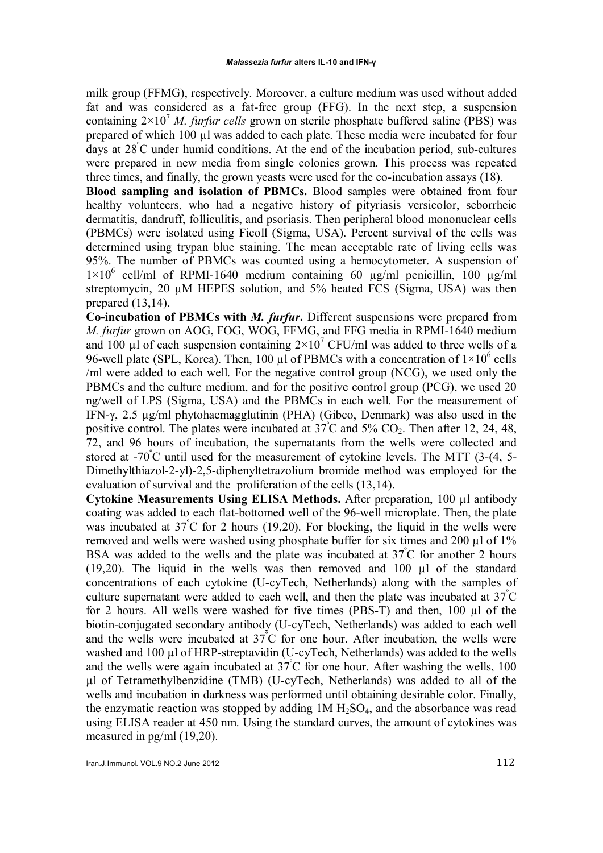milk group (FFMG), respectively. Moreover, a culture medium was used without added fat and was considered as a fat-free group (FFG). In the next step, a suspension containing  $2\times10^7$  *M. furfur cells* grown on sterile phosphate buffered saline (PBS) was prepared of which 100 µl was added to each plate. These media were incubated for four days at 28<sup>º</sup> C under humid conditions. At the end of the incubation period, sub-cultures were prepared in new media from single colonies grown. This process was repeated three times, and finally, the grown yeasts were used for the co-incubation assays (18).

Blood sampling and isolation of PBMCs. Blood samples were obtained from four healthy volunteers, who had a negative history of pityriasis versicolor, seborrheic dermatitis, dandruff, folliculitis, and psoriasis. Then peripheral blood mononuclear cells (PBMCs) were isolated using Ficoll (Sigma, USA). Percent survival of the cells was determined using trypan blue staining. The mean acceptable rate of living cells was 95%. The number of PBMCs was counted using a hemocytometer. A suspension of  $1\times10^6$  cell/ml of RPMI-1640 medium containing 60 µg/ml penicillin, 100 µg/ml streptomycin, 20  $\mu$ M HEPES solution, and 5% heated FCS (Sigma, USA) was then prepared (13,14).

Co-incubation of PBMCs with *M. furfur*. Different suspensions were prepared from *M. furfur* grown on AOG, FOG, WOG, FFMG, and FFG media in RPMI-1640 medium and 100  $\mu$ l of each suspension containing  $2 \times 10^7$  CFU/ml was added to three wells of a 96-well plate (SPL, Korea). Then, 100  $\mu$ I of PBMCs with a concentration of  $1 \times 10^6$  cells /ml were added to each well. For the negative control group (NCG), we used only the PBMCs and the culture medium, and for the positive control group (PCG), we used 20 ng/well of LPS (Sigma, USA) and the PBMCs in each well. For the measurement of IFN-γ, 2.5 µg/ml phytohaemagglutinin (PHA) (Gibco, Denmark) was also used in the positive control. The plates were incubated at  $37^{\circ}$ C and  $5\%$  CO<sub>2</sub>. Then after 12, 24, 48, 72, and 96 hours of incubation, the supernatants from the wells were collected and stored at -70<sup>º</sup> C until used for the measurement of cytokine levels. The MTT (3-(4, 5- Dimethylthiazol-2-yl)-2,5-diphenyltetrazolium bromide method was employed for the evaluation of survival and the proliferation of the cells (13,14).

Cytokine Measurements Using ELISA Methods. After preparation, 100 µl antibody coating was added to each flat-bottomed well of the 96-well microplate. Then, the plate was incubated at  $37^{\circ}$ C for 2 hours (19,20). For blocking, the liquid in the wells were removed and wells were washed using phosphate buffer for six times and 200 µl of 1% BSA was added to the wells and the plate was incubated at 37°C for another 2 hours (19,20). The liquid in the wells was then removed and 100  $\mu$ l of the standard concentrations of each cytokine (U-cyTech, Netherlands) along with the samples of culture supernatant were added to each well, and then the plate was incubated at 37<sup>º</sup> C for 2 hours. All wells were washed for five times (PBS-T) and then, 100 µl of the biotin-conjugated secondary antibody (U-cyTech, Netherlands) was added to each well and the wells were incubated at  $37^{\circ}$ C for one hour. After incubation, the wells were washed and 100 µl of HRP-streptavidin (U-cyTech, Netherlands) was added to the wells and the wells were again incubated at  $37^{\circ}$ C for one hour. After washing the wells, 100 µl of Tetramethylbenzidine (TMB) (U-cyTech, Netherlands) was added to all of the wells and incubation in darkness was performed until obtaining desirable color. Finally, the enzymatic reaction was stopped by adding  $1M H<sub>2</sub>SO<sub>4</sub>$ , and the absorbance was read using ELISA reader at 450 nm. Using the standard curves, the amount of cytokines was measured in pg/ml (19,20).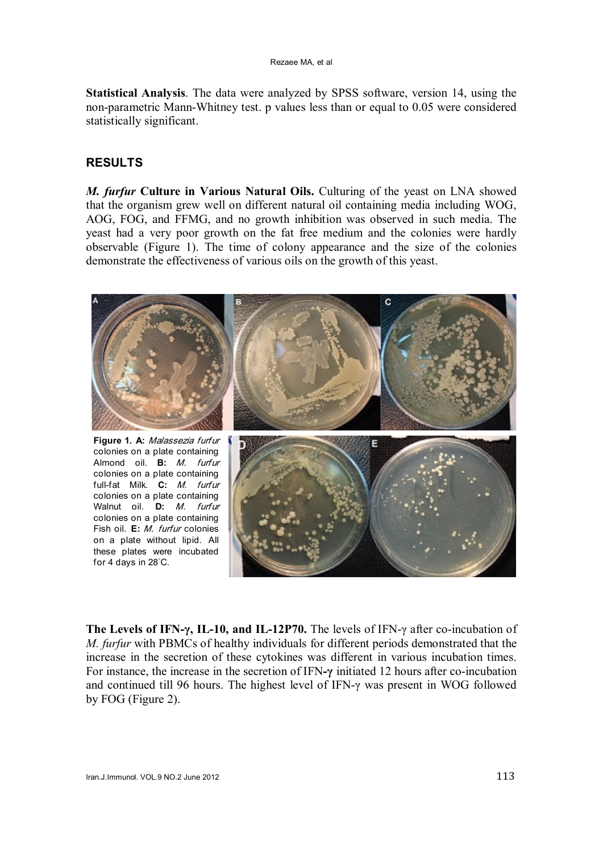Statistical Analysis. The data were analyzed by SPSS software, version 14, using the non-parametric Mann-Whitney test. p values less than or equal to 0.05 were considered statistically significant.

# RESULTS

*M. furfur* Culture in Various Natural Oils. Culturing of the yeast on LNA showed that the organism grew well on different natural oil containing media including WOG, AOG, FOG, and FFMG, and no growth inhibition was observed in such media. The yeast had a very poor growth on the fat free medium and the colonies were hardly observable (Figure 1). The time of colony appearance and the size of the colonies demonstrate the effectiveness of various oils on the growth of this yeast.



The Levels of IFN-γ, IL-10, and IL-12P70. The levels of IFN-γ after co-incubation of *M. furfur* with PBMCs of healthy individuals for different periods demonstrated that the increase in the secretion of these cytokines was different in various incubation times. For instance, the increase in the secretion of IFN-γ initiated 12 hours after co-incubation and continued till 96 hours. The highest level of IFN-γ was present in WOG followed by FOG (Figure 2).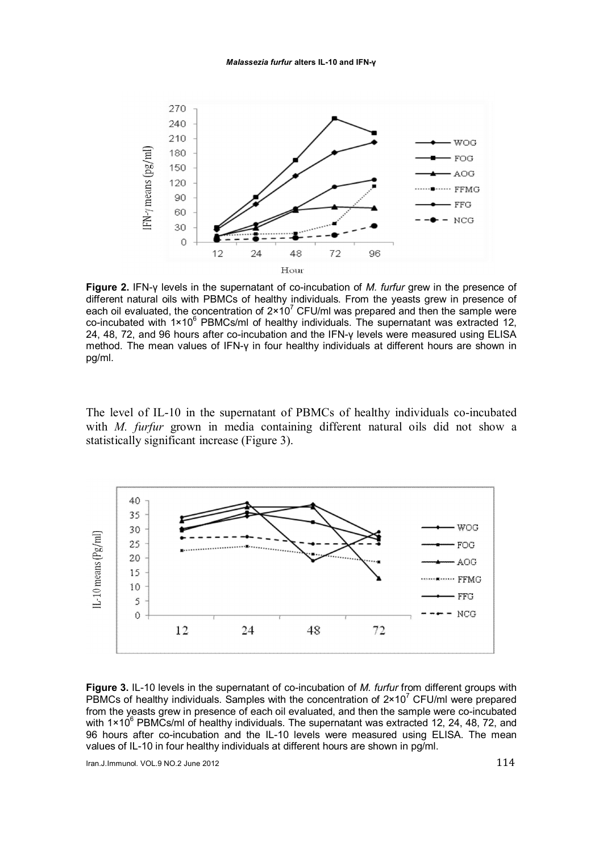

Figure 2. IFN-γ levels in the supernatant of co-incubation of *M. furfur* grew in the presence of different natural oils with PBMCs of healthy individuals. From the yeasts grew in presence of each oil evaluated, the concentration of  $2 \times 10^7$  CFU/ml was prepared and then the sample were co-incubated with  $1\times10^6$  PBMCs/ml of healthy individuals. The supernatant was extracted 12, 24, 48, 72, and 96 hours after co-incubation and the IFN-γ levels were measured using ELISA method. The mean values of IFN-γ in four healthy individuals at different hours are shown in pg/ml.

The level of IL-10 in the supernatant of PBMCs of healthy individuals co-incubated with *M. furfur* grown in media containing different natural oils did not show a statistically significant increase (Figure 3).



Figure 3. IL-10 levels in the supernatant of co-incubation of *M. furfur* from different groups with PBMCs of healthy individuals. Samples with the concentration of  $2 \times 10^7$  CFU/ml were prepared from the yeasts grew in presence of each oil evaluated, and then the sample were co-incubated with 1×10<sup>6</sup> PBMCs/ml of healthy individuals. The supernatant was extracted 12, 24, 48, 72, and 96 hours after co-incubation and the IL-10 levels were measured using ELISA. The mean values of IL-10 in four healthy individuals at different hours are shown in pg/ml.

Iran.J.Immunol. VOL.9 NO.2 June 2012  $114$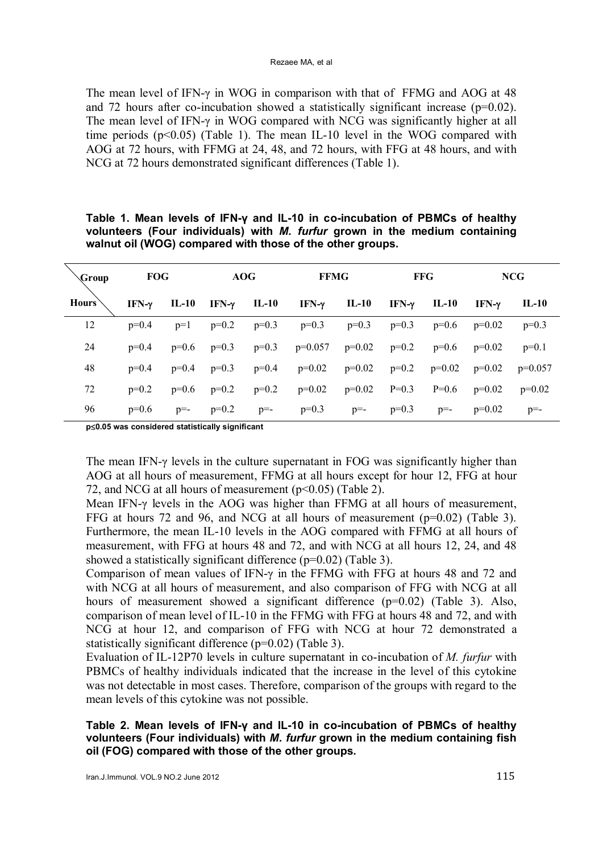#### Rezaee MA, et al

The mean level of IFN-γ in WOG in comparison with that of FFMG and AOG at 48 and 72 hours after co-incubation showed a statistically significant increase ( $p=0.02$ ). The mean level of IFN-γ in WOG compared with NCG was significantly higher at all time periods  $(p<0.05)$  (Table 1). The mean IL-10 level in the WOG compared with AOG at 72 hours, with FFMG at 24, 48, and 72 hours, with FFG at 48 hours, and with NCG at 72 hours demonstrated significant differences (Table 1).

| Group | <b>FOG</b>    |         | AOG           |         | <b>FFMG</b>       |          | <b>FFG</b> |          | <b>NCG</b> |           |
|-------|---------------|---------|---------------|---------|-------------------|----------|------------|----------|------------|-----------|
| Hours | IFN- $\gamma$ | $IL-10$ | IFN- $\gamma$ | IL-10   | IFN-γ             | IL-10    | IFN-γ      | IL-10    | IFN- $\nu$ | IL-10     |
| 12    | $p=0.4$       | $p=1$   | $p=0.2$       | $p=0.3$ | $p=0.3$           | $p=0.3$  | $p=0.3$    | $p=0.6$  | $p=0.02$   | $p=0.3$   |
| 24    | $p=0.4$       | $p=0.6$ | $p=0.3$       | $p=0.3$ | $p=0.057$         | $p=0.02$ | $p=0.2$    | $p=0.6$  | $p=0.02$   | $p=0.1$   |
| 48    | $p=0.4$       | $p=0.4$ | $p=0.3$       | $p=0.4$ | $p=0.02$ $p=0.02$ |          | $p=0.2$    | $p=0.02$ | $p=0.02$   | $p=0.057$ |
| 72    | $p=0.2$       | $p=0.6$ | $p=0.2$       | $p=0.2$ | $p=0.02$          | $p=0.02$ | $P=0.3$    | $P=0.6$  | $p=0.02$   | $p=0.02$  |
| 96    | $p=0.6$       | $p=-$   | $p=0.2$       | $p=-$   | $p=0.3$           | $p=-$    | $p=0.3$    | $p=-$    | $p=0.02$   | $p=-$     |

## Table 1. Mean levels of IFN-γ and IL-10 in co-incubation of PBMCs of healthy volunteers (Four individuals) with *M. furfur* grown in the medium containing walnut oil (WOG) compared with those of the other groups.

 $p\leq0.05$  was considered statistically significant

The mean IFN-γ levels in the culture supernatant in FOG was significantly higher than AOG at all hours of measurement, FFMG at all hours except for hour 12, FFG at hour 72, and NCG at all hours of measurement  $(p<0.05)$  (Table 2).

Mean IFN-γ levels in the AOG was higher than FFMG at all hours of measurement, FFG at hours 72 and 96, and NCG at all hours of measurement (p=0.02) (Table 3). Furthermore, the mean IL-10 levels in the AOG compared with FFMG at all hours of measurement, with FFG at hours 48 and 72, and with NCG at all hours 12, 24, and 48 showed a statistically significant difference (p=0.02) (Table 3).

Comparison of mean values of IFN-γ in the FFMG with FFG at hours 48 and 72 and with NCG at all hours of measurement, and also comparison of FFG with NCG at all hours of measurement showed a significant difference (p=0.02) (Table 3). Also, comparison of mean level of IL-10 in the FFMG with FFG at hours 48 and 72, and with NCG at hour 12, and comparison of FFG with NCG at hour 72 demonstrated a statistically significant difference (p=0.02) (Table 3).

Evaluation of IL-12P70 levels in culture supernatant in co-incubation of *M. furfur* with PBMCs of healthy individuals indicated that the increase in the level of this cytokine was not detectable in most cases. Therefore, comparison of the groups with regard to the mean levels of this cytokine was not possible.

Table 2. Mean levels of IFN-γ and IL-10 in co-incubation of PBMCs of healthy volunteers (Four individuals) with *M. furfur* grown in the medium containing fish oil (FOG) compared with those of the other groups.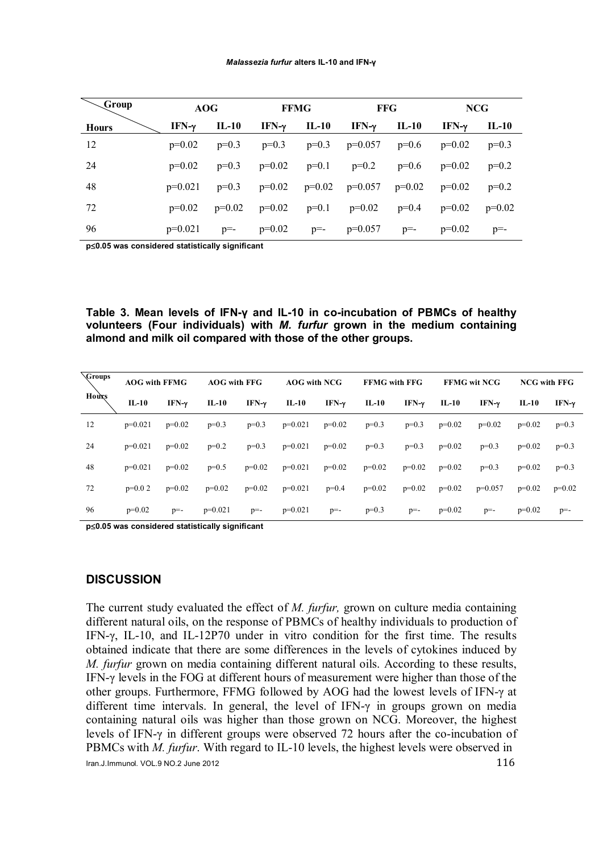| Group        | AOG           |          |                           | <b>FFMG</b>           | <b>FFG</b>                                    |         | <b>NCG</b>   |          |  |
|--------------|---------------|----------|---------------------------|-----------------------|-----------------------------------------------|---------|--------------|----------|--|
| <b>Hours</b> | IFN- $\gamma$ | IL-10    | IFN- $\gamma$             | IL-10                 | IFN- $\gamma$ IL-10                           |         | $IFN-\gamma$ | IL-10    |  |
| 12           | $p=0.02$      | $p=0.3$  | $p=0.3$                   |                       | $p=0.3$ $p=0.057$                             | $p=0.6$ | $p=0.02$     | $p=0.3$  |  |
| 24           | $p=0.02$      | $p=0.3$  |                           | $p=0.02$ $p=0.1$      | $p=0.2$                                       | $p=0.6$ | $p=0.02$     | $p=0.2$  |  |
| 48           | $p=0.021$     | $p=0.3$  |                           |                       | $p=0.02$ $p=0.02$ $p=0.057$ $p=0.02$ $p=0.02$ |         |              | $p=0.2$  |  |
| 72           | $p=0.02$      | $p=0.02$ | $p=0.02$ $p=0.1$ $p=0.02$ |                       |                                               | $p=0.4$ | $p=0.02$     | $p=0.02$ |  |
| 96           | $p=0.021$     | $p=-$    |                           | $p=0.02$ $p= p=0.057$ |                                               | $p=-$   | $p=0.02$     | $p=-$    |  |

 $p\leq0.05$  was considered statistically significant

Table 3. Mean levels of IFN-γ and IL-10 in co-incubation of PBMCs of healthy volunteers (Four individuals) with *M. furfur* grown in the medium containing almond and milk oil compared with those of the other groups.

| Groups<br>Hours | <b>AOG with FFMG</b> |               | <b>AOG</b> with FFG |               | <b>AOG</b> with NCG |               | <b>FFMG</b> with FFG |               | <b>FFMG wit NCG</b> |                  | <b>NCG with FFG</b> |               |
|-----------------|----------------------|---------------|---------------------|---------------|---------------------|---------------|----------------------|---------------|---------------------|------------------|---------------------|---------------|
|                 | $IL-10$              | IFN- $\gamma$ | $IL-10$             | IFN- $\gamma$ | $IL-10$             | IFN- $\gamma$ | $IL-10$              | IFN- $\gamma$ | $IL-10$             | IFN- $\mathbf v$ | $IL-10$             | IFN- $\gamma$ |
| 12              | $p=0.021$            | $p=0.02$      | $p=0.3$             | $p=0.3$       | $p=0.021$           | $p=0.02$      | $p=0.3$              | $p=0.3$       | $p=0.02$            | $p=0.02$         | $p=0.02$            | $p=0.3$       |
| 24              | $p=0.021$            | $p=0.02$      | $p=0.2$             | $p=0.3$       | $p=0.021$           | $p=0.02$      | $p=0.3$              | $p=0.3$       | $p=0.02$            | $p=0.3$          | $p=0.02$            | $p=0.3$       |
| 48              | $p=0.021$            | $p=0.02$      | $p=0.5$             | $p=0.02$      | $p=0.021$           | $p=0.02$      | $p=0.02$             | $p=0.02$      | $p=0.02$            | $p=0.3$          | $p=0.02$            | $p=0.3$       |
| 72              | $p=0.02$             | $p=0.02$      | $p=0.02$            | $p=0.02$      | $p=0.021$           | $p=0.4$       | $p=0.02$             | $p=0.02$      | $p=0.02$            | $p=0.057$        | $p=0.02$            | $p=0.02$      |
| 96              | $p=0.02$             | $p=-$         | $p=0.021$           | $p=-$         | $p=0.021$           | $p=-$         | $p=0.3$              | $p=-$         | $p=0.02$            | $p=-$            | $p=0.02$            | $p=$ -        |

 $p\leq0.05$  was considered statistically significant

### **DISCUSSION**

The current study evaluated the effect of *M. furfur,* grown on culture media containing different natural oils, on the response of PBMCs of healthy individuals to production of IFN-γ, IL-10, and IL-12P70 under in vitro condition for the first time. The results obtained indicate that there are some differences in the levels of cytokines induced by *M. furfur* grown on media containing different natural oils. According to these results, IFN-γ levels in the FOG at different hours of measurement were higher than those of the other groups. Furthermore, FFMG followed by AOG had the lowest levels of IFN-γ at different time intervals. In general, the level of IFN-γ in groups grown on media containing natural oils was higher than those grown on NCG. Moreover, the highest levels of IFN-γ in different groups were observed 72 hours after the co-incubation of PBMCs with *M. furfur*. With regard to IL-10 levels, the highest levels were observed in

Iran.J.Immunol. VOL.9 NO.2 June 2012  $116$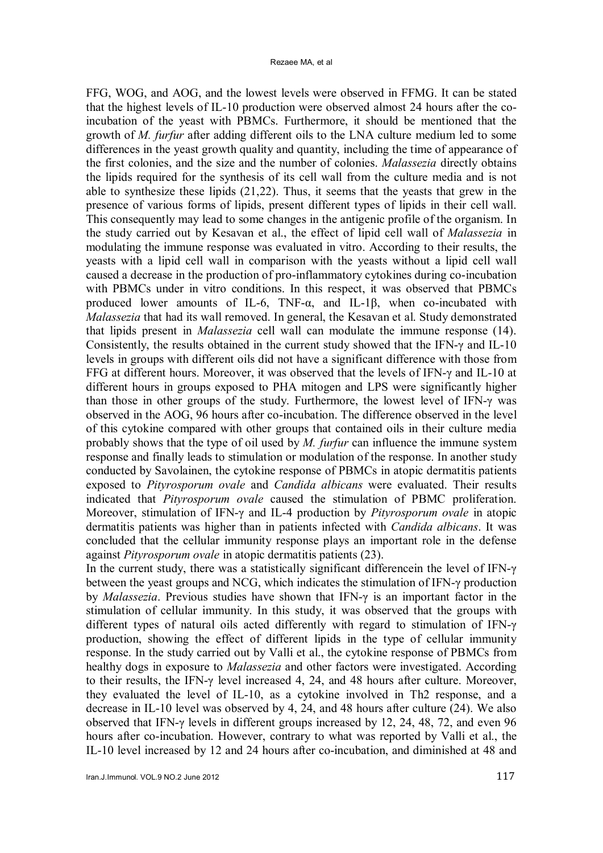FFG, WOG, and AOG, and the lowest levels were observed in FFMG. It can be stated that the highest levels of IL-10 production were observed almost 24 hours after the coincubation of the yeast with PBMCs. Furthermore, it should be mentioned that the growth of *M. furfur* after adding different oils to the LNA culture medium led to some differences in the yeast growth quality and quantity, including the time of appearance of the first colonies, and the size and the number of colonies. *Malassezia* directly obtains the lipids required for the synthesis of its cell wall from the culture media and is not able to synthesize these lipids (21,22). Thus, it seems that the yeasts that grew in the presence of various forms of lipids, present different types of lipids in their cell wall. This consequently may lead to some changes in the antigenic profile of the organism. In the study carried out by Kesavan et al., the effect of lipid cell wall of *Malassezia* in modulating the immune response was evaluated in vitro. According to their results, the yeasts with a lipid cell wall in comparison with the yeasts without a lipid cell wall caused a decrease in the production of pro-inflammatory cytokines during co-incubation with PBMCs under in vitro conditions. In this respect, it was observed that PBMCs produced lower amounts of IL-6, TNF- $\alpha$ , and IL-1 $\beta$ , when co-incubated with *Malassezia* that had its wall removed. In general, the Kesavan et al. Study demonstrated that lipids present in *Malassezia* cell wall can modulate the immune response (14). Consistently, the results obtained in the current study showed that the IFN-γ and IL-10 levels in groups with different oils did not have a significant difference with those from FFG at different hours. Moreover, it was observed that the levels of IFN-γ and IL-10 at different hours in groups exposed to PHA mitogen and LPS were significantly higher than those in other groups of the study. Furthermore, the lowest level of IFN-γ was observed in the AOG, 96 hours after co-incubation. The difference observed in the level of this cytokine compared with other groups that contained oils in their culture media probably shows that the type of oil used by *M. furfur* can influence the immune system response and finally leads to stimulation or modulation of the response. In another study conducted by Savolainen, the cytokine response of PBMCs in atopic dermatitis patients exposed to *Pityrosporum ovale* and *Candida albicans* were evaluated. Their results indicated that *Pityrosporum ovale* caused the stimulation of PBMC proliferation. Moreover, stimulation of IFN-γ and IL-4 production by *Pityrosporum ovale* in atopic dermatitis patients was higher than in patients infected with *Candida albicans*. It was concluded that the cellular immunity response plays an important role in the defense against *Pityrosporum ovale* in atopic dermatitis patients (23).

In the current study, there was a statistically significant differencein the level of IFN-γ between the yeast groups and NCG, which indicates the stimulation of IFN-γ production by *Malassezia*. Previous studies have shown that IFN-γ is an important factor in the stimulation of cellular immunity. In this study, it was observed that the groups with different types of natural oils acted differently with regard to stimulation of IFN-γ production, showing the effect of different lipids in the type of cellular immunity response. In the study carried out by Valli et al., the cytokine response of PBMCs from healthy dogs in exposure to *Malassezia* and other factors were investigated. According to their results, the IFN-γ level increased 4, 24, and 48 hours after culture. Moreover, they evaluated the level of IL-10, as a cytokine involved in Th2 response, and a decrease in IL-10 level was observed by 4, 24, and 48 hours after culture (24). We also observed that IFN-γ levels in different groups increased by 12, 24, 48, 72, and even 96 hours after co-incubation. However, contrary to what was reported by Valli et al., the IL-10 level increased by 12 and 24 hours after co-incubation, and diminished at 48 and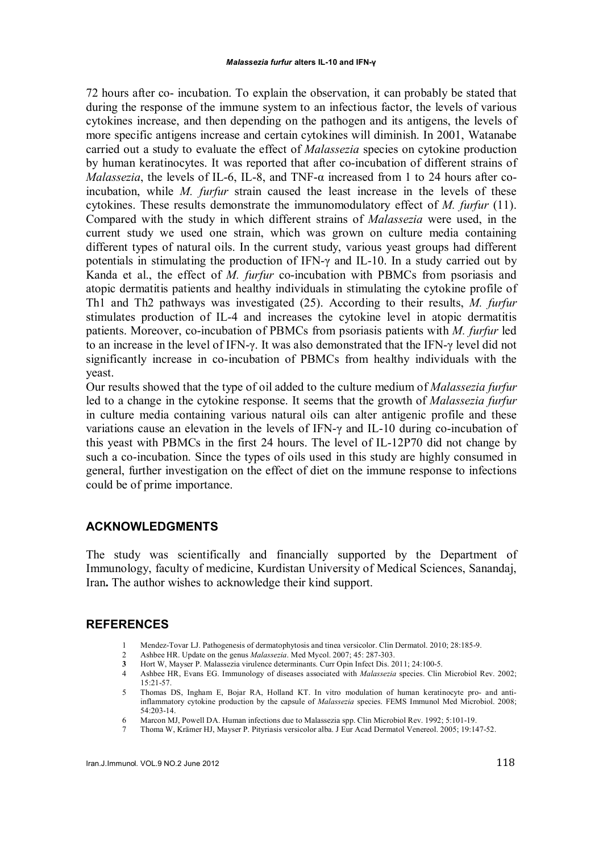72 hours after co- incubation. To explain the observation, it can probably be stated that during the response of the immune system to an infectious factor, the levels of various cytokines increase, and then depending on the pathogen and its antigens, the levels of more specific antigens increase and certain cytokines will diminish. In 2001, Watanabe carried out a study to evaluate the effect of *Malassezia* species on cytokine production by human keratinocytes. It was reported that after co-incubation of different strains of *Malassezia*, the levels of IL-6, IL-8, and TNF-α increased from 1 to 24 hours after coincubation, while *M. furfur* strain caused the least increase in the levels of these cytokines. These results demonstrate the immunomodulatory effect of *M. furfur* (11). Compared with the study in which different strains of *Malassezia* were used, in the current study we used one strain, which was grown on culture media containing different types of natural oils. In the current study, various yeast groups had different potentials in stimulating the production of IFN-γ and IL-10. In a study carried out by Kanda et al., the effect of *M. furfur* co-incubation with PBMCs from psoriasis and atopic dermatitis patients and healthy individuals in stimulating the cytokine profile of Th1 and Th2 pathways was investigated (25). According to their results, *M. furfur* stimulates production of IL-4 and increases the cytokine level in atopic dermatitis patients. Moreover, co-incubation of PBMCs from psoriasis patients with *M. furfur* led to an increase in the level of IFN-γ. It was also demonstrated that the IFN-γ level did not significantly increase in co-incubation of PBMCs from healthy individuals with the yeast.

Our results showed that the type of oil added to the culture medium of *Malassezia furfur* led to a change in the cytokine response. It seems that the growth of *Malassezia furfur* in culture media containing various natural oils can alter antigenic profile and these variations cause an elevation in the levels of IFN-γ and IL-10 during co-incubation of this yeast with PBMCs in the first 24 hours. The level of IL-12P70 did not change by such a co-incubation. Since the types of oils used in this study are highly consumed in general, further investigation on the effect of diet on the immune response to infections could be of prime importance.

### ACKNOWLEDGMENTS

The study was scientifically and financially supported by the Department of Immunology, faculty of medicine, Kurdistan University of Medical Sciences, Sanandaj, Iran. The author wishes to acknowledge their kind support.

### **REFERENCES**

- 1 Mendez-Tovar LJ. Pathogenesis of dermatophytosis and tinea versicolor. Clin Dermatol. 2010; 28:185-9.
- 2 Ashbee HR. Update on the genus *Malassezia*. Med Mycol. 2007; 45: 287-303.
- 3 Hort W, Mayser P. Malassezia virulence determinants. Curr Opin Infect Dis. 2011; 24:100-5.
- 4 Ashbee HR, Evans EG. Immunology of diseases associated with *Malassezia* species. Clin Microbiol Rev. 2002; 15:21-57.
- 5 Thomas DS, Ingham E, Bojar RA, Holland KT. In vitro modulation of human keratinocyte pro- and antiinflammatory cytokine production by the capsule of *Malassezia* species. FEMS Immunol Med Microbiol. 2008; 54:203-14.
- 6 Marcon MJ, Powell DA. Human infections due to Malassezia spp. Clin Microbiol Rev. 1992; 5:101-19.
- 7 Thoma W, Krämer HJ, Mayser P. Pityriasis versicolor alba. J Eur Acad Dermatol Venereol. 2005; 19:147-52.